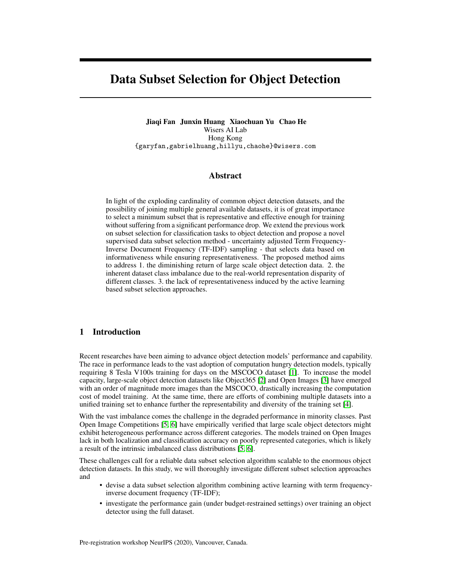# Data Subset Selection for Object Detection

Jiaqi Fan Junxin Huang Xiaochuan Yu Chao He Wisers AI Lab Hong Kong {garyfan,gabrielhuang,hillyu,chaohe}@wisers.com

## Abstract

In light of the exploding cardinality of common object detection datasets, and the possibility of joining multiple general available datasets, it is of great importance to select a minimum subset that is representative and effective enough for training without suffering from a significant performance drop. We extend the previous work on subset selection for classification tasks to object detection and propose a novel supervised data subset selection method - uncertainty adjusted Term Frequency-Inverse Document Frequency (TF-IDF) sampling - that selects data based on informativeness while ensuring representativeness. The proposed method aims to address 1. the diminishing return of large scale object detection data. 2. the inherent dataset class imbalance due to the real-world representation disparity of different classes. 3. the lack of representativeness induced by the active learning based subset selection approaches.

# 1 Introduction

Recent researches have been aiming to advance object detection models' performance and capability. The race in performance leads to the vast adoption of computation hungry detection models, typically requiring 8 Tesla V100s training for days on the MSCOCO dataset [\[1\]](#page-6-0). To increase the model capacity, large-scale object detection datasets like Object365 [\[2\]](#page-6-1) and Open Images [\[3\]](#page-6-2) have emerged with an order of magnitude more images than the MSCOCO, drastically increasing the computation cost of model training. At the same time, there are efforts of combining multiple datasets into a unified training set to enhance further the representability and diversity of the training set [\[4\]](#page-6-3).

With the vast imbalance comes the challenge in the degraded performance in minority classes. Past Open Image Competitions [\[5,](#page-6-4) [6\]](#page-6-5) have empirically verified that large scale object detectors might exhibit heterogeneous performance across different categories. The models trained on Open Images lack in both localization and classification accuracy on poorly represented categories, which is likely a result of the intrinsic imbalanced class distributions [\[5,](#page-6-4) [6\]](#page-6-5).

These challenges call for a reliable data subset selection algorithm scalable to the enormous object detection datasets. In this study, we will thoroughly investigate different subset selection approaches and

- devise a data subset selection algorithm combining active learning with term frequencyinverse document frequency (TF-IDF);
- investigate the performance gain (under budget-restrained settings) over training an object detector using the full dataset.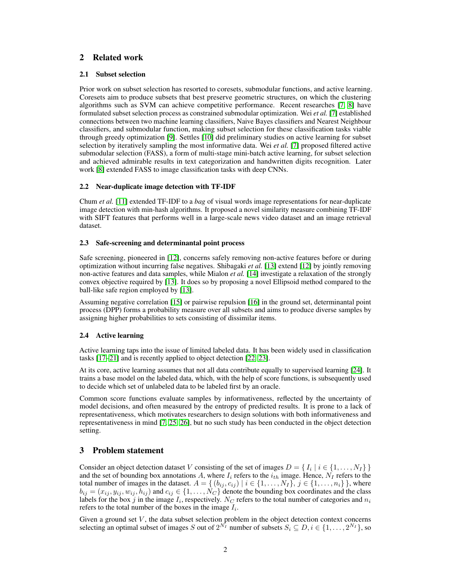# 2 Related work

#### 2.1 Subset selection

Prior work on subset selection has resorted to coresets, submodular functions, and active learning. Coresets aim to produce subsets that best preserve geometric structures, on which the clustering algorithms such as SVM can achieve competitive performance. Recent researches [\[7,](#page-6-6) [8\]](#page-6-7) have formulated subset selection process as constrained submodular optimization. Wei *et al.* [\[7\]](#page-6-6) established connections between two machine learning classifiers, Naive Bayes classifiers and Nearest Neighbour classifiers, and submodular function, making subset selection for these classification tasks viable through greedy optimization [\[9\]](#page-6-8). Settles [\[10\]](#page-6-9) did preliminary studies on active learning for subset selection by iteratively sampling the most informative data. Wei *et al.* [\[7\]](#page-6-6) proposed filtered active submodular selection (FASS), a form of multi-stage mini-batch active learning, for subset selection and achieved admirable results in text categorization and handwritten digits recognition. Later work [\[8\]](#page-6-7) extended FASS to image classification tasks with deep CNNs.

#### 2.2 Near-duplicate image detection with TF-IDF

Chum *et al.* [\[11\]](#page-6-10) extended TF-IDF to a *bag* of visual words image representations for near-duplicate image detection with min-hash algorithms. It proposed a novel similarity measure combining TF-IDF with SIFT features that performs well in a large-scale news video dataset and an image retrieval dataset.

#### 2.3 Safe-screening and determinantal point process

Safe screening, pioneered in [\[12\]](#page-6-11), concerns safely removing non-active features before or during optimization without incurring false negatives. Shibagaki *et al.* [\[13\]](#page-6-12) extend [\[12\]](#page-6-11) by jointly removing non-active features and data samples, while Mialon *et al.* [\[14\]](#page-6-13) investigate a relaxation of the strongly convex objective required by [\[13\]](#page-6-12). It does so by proposing a novel Ellipsoid method compared to the ball-like safe region employed by [\[13\]](#page-6-12).

Assuming negative correlation [\[15\]](#page-6-14) or pairwise repulsion [\[16\]](#page-6-15) in the ground set, determinantal point process (DPP) forms a probability measure over all subsets and aims to produce diverse samples by assigning higher probabilities to sets consisting of dissimilar items.

#### 2.4 Active learning

Active learning taps into the issue of limited labeled data. It has been widely used in classification tasks [\[17–](#page-6-16)[21\]](#page-6-17) and is recently applied to object detection [\[22,](#page-6-18) [23\]](#page-7-0).

At its core, active learning assumes that not all data contribute equally to supervised learning [\[24\]](#page-7-1). It trains a base model on the labeled data, which, with the help of score functions, is subsequently used to decide which set of unlabeled data to be labeled first by an oracle.

Common score functions evaluate samples by informativeness, reflected by the uncertainty of model decisions, and often measured by the entropy of predicted results. It is prone to a lack of representativeness, which motivates researchers to design solutions with both informativeness and representativeness in mind [\[7,](#page-6-6) [25,](#page-7-2) [26\]](#page-7-3), but no such study has been conducted in the object detection setting.

# 3 Problem statement

Consider an object detection dataset V consisting of the set of images  $D = \{I_i \mid i \in \{1, ..., N_I\}\}\$ and the set of bounding box annotations A, where  $I_i$  refers to the  $i_{th}$  image. Hence,  $N_I$  refers to the total number of images in the dataset.  $A = \{ (b_{ij}, c_{ij}) | i \in \{1, ..., N_I\}, j \in \{1, ..., n_i\} \}$ , where  $b_{ij} = (x_{ij}, y_{ij}, w_{ij}, h_{ij})$  and  $c_{ij} \in \{1, \ldots, N_C\}$  denote the bounding box coordinates and the class labels for the box j in the image  $I_i$ , respectively. N<sub>C</sub> refers to the total number of categories and  $n_i$ refers to the total number of the boxes in the image  $I_i$ .

Given a ground set  $V$ , the data subset selection problem in the object detection context concerns selecting an optimal subset of images S out of  $2^{N_I}$  number of subsets  $S_i \subseteq D, i \in \{1, \ldots, 2^{N_I}\}\)$  so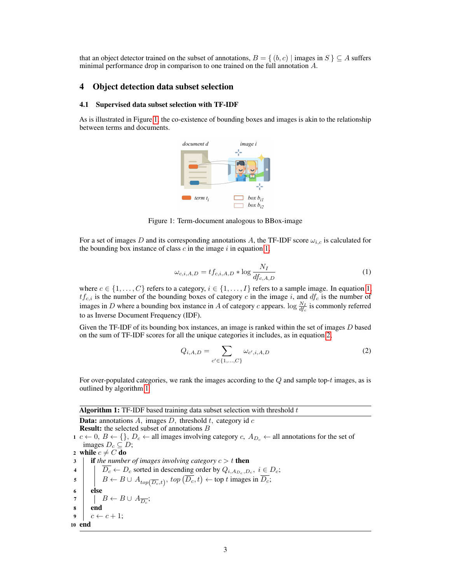that an object detector trained on the subset of annotations,  $B = \{ (b, c) | \text{images in } S \} \subseteq A \text{ suffers}$ minimal performance drop in comparison to one trained on the full annotation A.

# 4 Object detection data subset selection

#### 4.1 Supervised data subset selection with TF-IDF

<span id="page-2-0"></span>As is illustrated in Figure [1,](#page-2-0) the co-existence of bounding boxes and images is akin to the relationship between terms and documents.



Figure 1: Term-document analogous to BBox-image

<span id="page-2-1"></span>For a set of images D and its corresponding annotations A, the TF-IDF score  $\omega_{i,c}$  is calculated for the bounding box instance of class  $c$  in the image  $i$  in equation [1,](#page-2-1)

$$
\omega_{c,i,A,D} = t f_{c,i,A,D} * \log \frac{N_I}{df_{c,A,D}}
$$
\n<sup>(1)</sup>

where  $c \in \{1, \ldots, C\}$  refers to a category,  $i \in \{1, \ldots, I\}$  refers to a sample image. In equation [1,](#page-2-1)  $tf_{c,i}$  is the number of the bounding boxes of category c in the image i, and  $df_c$  is the number of images in D where a bounding box instance in A of category c appears.  $\log \frac{N_I}{df_c}$  is commonly referred to as Inverse Document Frequency (IDF).

Given the TF-IDF of its bounding box instances, an image is ranked within the set of images  $D$  based on the sum of TF-IDF scores for all the unique categories it includes, as in equation [2,](#page-2-2)

<span id="page-2-2"></span>
$$
Q_{i,A,D} = \sum_{c' \in \{1,...,C\}} \omega_{c',i,A,D}
$$
 (2)

For over-populated categories, we rank the images according to the  $Q$  and sample top-t images, as is outlined by algorithm [1.](#page-2-3)

<span id="page-2-3"></span>

|              | <b>Algorithm 1:</b> TF-IDF based training data subset selection with threshold $t$                                                                                                                                                    |  |  |  |  |  |  |
|--------------|---------------------------------------------------------------------------------------------------------------------------------------------------------------------------------------------------------------------------------------|--|--|--|--|--|--|
|              | <b>Data:</b> annotations A, images D, threshold t, category id $c$                                                                                                                                                                    |  |  |  |  |  |  |
|              | <b>Result:</b> the selected subset of annotations B                                                                                                                                                                                   |  |  |  |  |  |  |
|              | $1 \ c \leftarrow 0, B \leftarrow \{\}, D_c \leftarrow \text{all images involving category } c, A_{D_c} \leftarrow \text{all annotations for the set of }$                                                                            |  |  |  |  |  |  |
|              | images $D_c \subseteq D$ ;                                                                                                                                                                                                            |  |  |  |  |  |  |
|              | 2 while $c \neq C$ do                                                                                                                                                                                                                 |  |  |  |  |  |  |
| $\mathbf{3}$ | <b>if</b> the number of images involving category $c > t$ then                                                                                                                                                                        |  |  |  |  |  |  |
|              |                                                                                                                                                                                                                                       |  |  |  |  |  |  |
|              | 4<br>$\boxed{B \leftarrow D_c \text{ sorted in descending order by } Q_{i, A_{D_c}, D_c}, i \in D_c;$<br>$B \leftarrow B \cup A_{top(\overline{D_c}, t)}, top(\overline{D_c}, t) \leftarrow top t \text{ images in } \overline{D_c};$ |  |  |  |  |  |  |
| 6            | else                                                                                                                                                                                                                                  |  |  |  |  |  |  |
|              | 7     $B \leftarrow B \cup A_{\overline{D_c}}$ ;                                                                                                                                                                                      |  |  |  |  |  |  |
| $8 \mid$     | end                                                                                                                                                                                                                                   |  |  |  |  |  |  |
|              | $\bullet \quad c \leftarrow c + 1;$                                                                                                                                                                                                   |  |  |  |  |  |  |
|              | 10 end                                                                                                                                                                                                                                |  |  |  |  |  |  |
|              |                                                                                                                                                                                                                                       |  |  |  |  |  |  |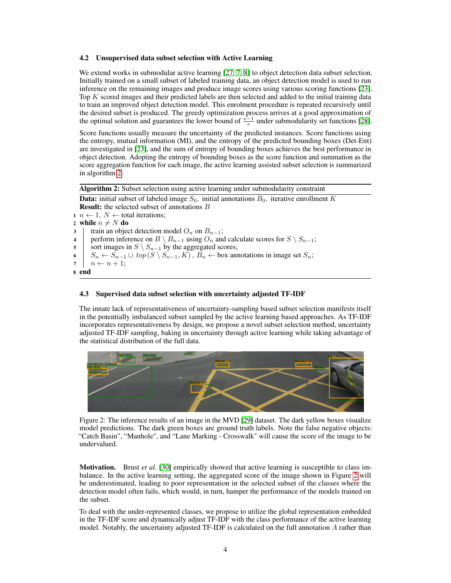#### 4.2 Unsupervised data subset selection with Active Learning

We extend works in submodular active learning [\[27,](#page-7-4) [7,](#page-6-6) [8\]](#page-6-7) to object detection data subset selection. Initially trained on a small subset of labeled training data, an object detection model is used to run inference on the remaining images and produce image scores using various scoring functions [\[23\]](#page-7-0). Top K scored images and their predicted labels are then selected and added to the initial training data to train an improved object detection model. This enrolment procedure is repeated recursively until the desired subset is produced. The greedy optimization process arrives at a good approximation of the optimal solution and guarantees the lower bound of  $\frac{e-1}{e}$  under submodularity set functions [\[28\]](#page-7-5).

Score functions usually measure the uncertainty of the predicted instances. Score functions using the entropy, mutual information (MI), and the entropy of the predicted bounding boxes (Det-Ent) are investigated in [\[23\]](#page-7-0), and the sum of entropy of bounding boxes achieves the best performance in object detection. Adopting the entropy of bounding boxes as the score function and summation as the score aggregation function for each image, the active learning assisted subset selection is summarized in algorithm [2.](#page-3-0)

Algorithm 2: Subset selection using active learning under submodularity constraint

**Data:** initial subset of labeled image  $S_0$ , initial annotations  $B_0$ , iterative enrollment K **Result:** the selected subset of annotations B

1  $n \leftarrow 1, N \leftarrow$  total iterations;

```
2 while n \neq N do
```
3 | train an object detection model  $O_n$  on  $B_{n-1}$ ;

```
4 perform inference on B \setminus B_{n-1} using O_n and calculate scores for S \setminus S_{n-1};
```
5 sort images in  $S \setminus S_{n-1}$  by the aggregated scores;

```
6 S_n \leftarrow S_{n-1} \cup top(S \setminus S_{n-1}, K), B_n \leftarrow box annotations in image set S_n;
```
7  $n \leftarrow n+1$ ;

```
8 end
```
## 4.3 Supervised data subset selection with uncertainty adjusted TF-IDF

The innate lack of representativeness of uncertainty-sampling based subset selection manifests itself in the potentially imbalanced subset sampled by the active learning based approaches. As TF-IDF incorporates representativeness by design, we propose a novel subset selection method, uncertainty adjusted TF-IDF sampling, baking in uncertainty through active learning while taking advantage of the statistical distribution of the full data.

<span id="page-3-1"></span>

Figure 2: The inference results of an image in the MVD [\[29\]](#page-7-6) dataset. The dark yellow boxes visualize model predictions. The dark green boxes are ground truth labels. Note the false negative objects: "Catch Basin", "Manhole", and "Lane Marking - Crosswalk" will cause the score of the image to be undervalued.

**Motivation.** Brust *et al.* [\[30\]](#page-7-7) empirically showed that active learning is susceptible to class imbalance. In the active learning setting, the aggregated score of the image shown in Figure [2](#page-3-1) will be underestimated, leading to poor representation in the selected subset of the classes where the detection model often fails, which would, in turn, hamper the performance of the models trained on the subset.

To deal with the under-represented classes, we propose to utilize the global representation embedded in the TF-IDF score and dynamically adjust TF-IDF with the class performance of the active learning model. Notably, the uncertainty adjusted TF-IDF is calculated on the full annotation A rather than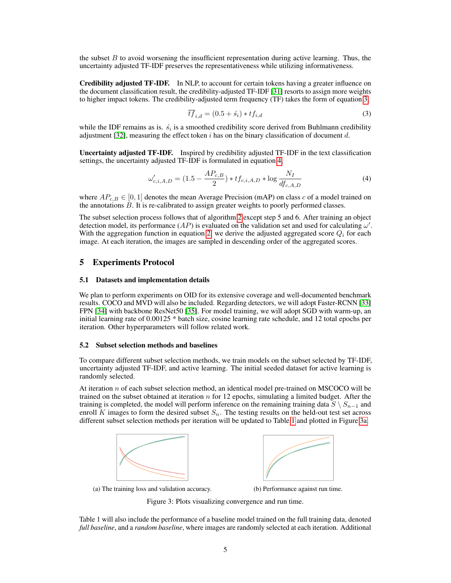the subset  $B$  to avoid worsening the insufficient representation during active learning. Thus, the uncertainty adjusted TF-IDF preserves the representativeness while utilizing informativeness.

Credibility adjusted TF-IDF. In NLP, to account for certain tokens having a greater influence on the document classification result, the credibility-adjusted TF-IDF [\[31\]](#page-7-8) resorts to assign more weights to higher impact tokens. The credibility-adjusted term frequency (TF) takes the form of equation [3,](#page-4-0)

<span id="page-4-1"></span><span id="page-4-0"></span>
$$
\overline{tf}_{i,d} = (0.5 + \hat{s}_i) * tf_{i,d} \tag{3}
$$

while the IDF remains as is.  $\hat{s_i}$  is a smoothed credibility score derived from Buhlmann credibility adjustment [\[32\]](#page-7-9), measuring the effect token i has on the binary classification of document d.

Uncertainty adjusted TF-IDF. Inspired by credibility adjusted TF-IDF in the text classification settings, the uncertainty adjusted TF-IDF is formulated in equation [4,](#page-4-1)

$$
\omega'_{c,i,A,D} = (1.5 - \frac{AP_{c,B}}{2}) * tf_{c,i,A,D} * \log \frac{N_I}{df_{c,A,D}}
$$
(4)

where  $AP_{c,B} \in [0,1]$  denotes the mean Average Precision (mAP) on class c of a model trained on the annotations  $\tilde{B}$ . It is re-calibrated to assign greater weights to poorly performed classes.

The subset selection process follows that of algorithm [2](#page-3-0) except step 5 and 6. After training an object detection model, its performance  $(AP)$  is evaluated on the validation set and used for calculating  $\omega'$ . With the aggregation function in equation [2,](#page-2-2) we derive the adjusted aggregated score  $Q_i$  for each image. At each iteration, the images are sampled in descending order of the aggregated scores.

#### 5 Experiments Protocol

#### 5.1 Datasets and implementation details

We plan to perform experiments on OID for its extensive coverage and well-documented benchmark results. COCO and MVD will also be included. Regarding detectors, we will adopt Faster-RCNN [\[33\]](#page-7-10) FPN [\[34\]](#page-7-11) with backbone ResNet50 [\[35\]](#page-7-12). For model training, we will adopt SGD with warm-up, an initial learning rate of 0.00125 \* batch size, cosine learning rate schedule, and 12 total epochs per iteration. Other hyperparameters will follow related work.

#### 5.2 Subset selection methods and baselines

To compare different subset selection methods, we train models on the subset selected by TF-IDF, uncertainty adjusted TF-IDF, and active learning. The initial seeded dataset for active learning is randomly selected.

At iteration  $n$  of each subset selection method, an identical model pre-trained on MSCOCO will be trained on the subset obtained at iteration  $n$  for 12 epochs, simulating a limited budget. After the training is completed, the model will perform inference on the remaining training data  $S \setminus S_{n-1}$  and enroll K images to form the desired subset  $S_n$ . The testing results on the held-out test set across different subset selection methods per iteration will be updated to Table [1](#page-5-0) and plotted in Figure [3a.](#page-4-2)

<span id="page-4-2"></span>



(a) The training loss and validation accuracy. (b) Performance against run time.

Figure 3: Plots visualizing convergence and run time.

Table 1 will also include the performance of a baseline model trained on the full training data, denoted *full baseline*, and a *random baseline*, where images are randomly selected at each iteration. Additional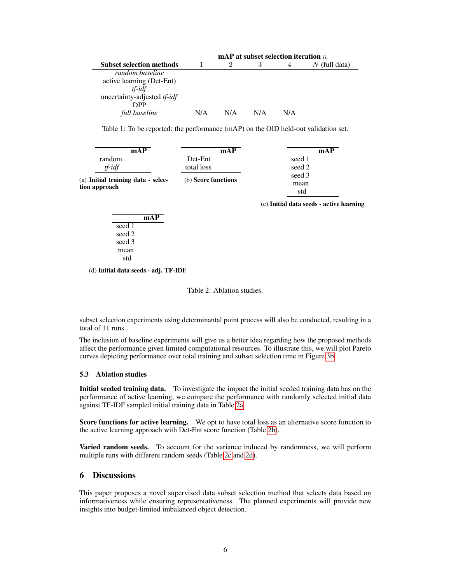<span id="page-5-0"></span>

|                                 | mAP at subset selection iteration $n$ |     |     |     |                 |
|---------------------------------|---------------------------------------|-----|-----|-----|-----------------|
| <b>Subset selection methods</b> |                                       |     | 3   |     | $N$ (full data) |
| random baseline                 |                                       |     |     |     |                 |
| active learning (Det-Ent)       |                                       |     |     |     |                 |
| $tf$ - $idf$                    |                                       |     |     |     |                 |
| uncertainty-adjusted tf-idf     |                                       |     |     |     |                 |
| DPP                             |                                       |     |     |     |                 |
| full baseline                   | N/A                                   | N/A | N/A | N/A |                 |

Table 1: To be reported: the performance (mAP) on the OID held-out validation set.

<span id="page-5-1"></span>

| mAP                                | mAP                 | mAP                                      |  |  |
|------------------------------------|---------------------|------------------------------------------|--|--|
| random                             | Det-Ent             | seed 1                                   |  |  |
| $tf$ - $idf$                       | total loss          | seed 2                                   |  |  |
| (a) Initial training data - selec- |                     | seed 3<br>mean                           |  |  |
|                                    | (b) Score functions |                                          |  |  |
| tion approach                      |                     | std                                      |  |  |
|                                    |                     | (c) Initial data seeds - active learning |  |  |

|        | mAP |
|--------|-----|
| seed 1 |     |
| seed 2 |     |
| seed 3 |     |
| mean   |     |
| std    |     |

(d) Initial data seeds - adj. TF-IDF

Table 2: Ablation studies.

subset selection experiments using determinantal point process will also be conducted, resulting in a total of 11 runs.

The inclusion of baseline experiments will give us a better idea regarding how the proposed methods affect the performance given limited computational resources. To illustrate this, we will plot Pareto curves depicting performance over total training and subset selection time in Figure [3b.](#page-4-2)

#### 5.3 Ablation studies

Initial seeded training data. To investigate the impact the initial seeded training data has on the performance of active learning, we compare the performance with randomly selected initial data against TF-IDF sampled initial training data in Table [2a.](#page-5-1)

Score functions for active learning. We opt to have total loss as an alternative score function to the active learning approach with Det-Ent score function (Table [2b\)](#page-5-1).

Varied random seeds. To account for the variance induced by randomness, we will perform multiple runs with different random seeds (Table [2c](#page-5-1) and [2d\)](#page-5-1).

# 6 Discussions

This paper proposes a novel supervised data subset selection method that selects data based on informativeness while ensuring representativeness. The planned experiments will provide new insights into budget-limited imbalanced object detection.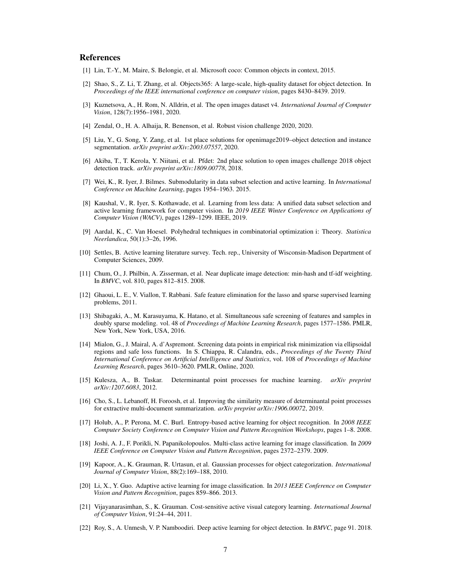#### References

- <span id="page-6-0"></span>[1] Lin, T.-Y., M. Maire, S. Belongie, et al. Microsoft coco: Common objects in context, 2015.
- <span id="page-6-1"></span>[2] Shao, S., Z. Li, T. Zhang, et al. Objects365: A large-scale, high-quality dataset for object detection. In *Proceedings of the IEEE international conference on computer vision*, pages 8430–8439. 2019.
- <span id="page-6-2"></span>[3] Kuznetsova, A., H. Rom, N. Alldrin, et al. The open images dataset v4. *International Journal of Computer Vision*, 128(7):1956–1981, 2020.
- <span id="page-6-3"></span>[4] Zendal, O., H. A. Alhaija, R. Benenson, et al. Robust vision challenge 2020, 2020.
- <span id="page-6-4"></span>[5] Liu, Y., G. Song, Y. Zang, et al. 1st place solutions for openimage2019–object detection and instance segmentation. *arXiv preprint arXiv:2003.07557*, 2020.
- <span id="page-6-5"></span>[6] Akiba, T., T. Kerola, Y. Niitani, et al. Pfdet: 2nd place solution to open images challenge 2018 object detection track. *arXiv preprint arXiv:1809.00778*, 2018.
- <span id="page-6-6"></span>[7] Wei, K., R. Iyer, J. Bilmes. Submodularity in data subset selection and active learning. In *International Conference on Machine Learning*, pages 1954–1963. 2015.
- <span id="page-6-7"></span>[8] Kaushal, V., R. Iyer, S. Kothawade, et al. Learning from less data: A unified data subset selection and active learning framework for computer vision. In *2019 IEEE Winter Conference on Applications of Computer Vision (WACV)*, pages 1289–1299. IEEE, 2019.
- <span id="page-6-8"></span>[9] Aardal, K., C. Van Hoesel. Polyhedral techniques in combinatorial optimization i: Theory. *Statistica Neerlandica*, 50(1):3–26, 1996.
- <span id="page-6-9"></span>[10] Settles, B. Active learning literature survey. Tech. rep., University of Wisconsin-Madison Department of Computer Sciences, 2009.
- <span id="page-6-10"></span>[11] Chum, O., J. Philbin, A. Zisserman, et al. Near duplicate image detection: min-hash and tf-idf weighting. In *BMVC*, vol. 810, pages 812–815. 2008.
- <span id="page-6-11"></span>[12] Ghaoui, L. E., V. Viallon, T. Rabbani. Safe feature elimination for the lasso and sparse supervised learning problems, 2011.
- <span id="page-6-12"></span>[13] Shibagaki, A., M. Karasuyama, K. Hatano, et al. Simultaneous safe screening of features and samples in doubly sparse modeling. vol. 48 of *Proceedings of Machine Learning Research*, pages 1577–1586. PMLR, New York, New York, USA, 2016.
- <span id="page-6-13"></span>[14] Mialon, G., J. Mairal, A. d'Aspremont. Screening data points in empirical risk minimization via ellipsoidal regions and safe loss functions. In S. Chiappa, R. Calandra, eds., *Proceedings of the Twenty Third International Conference on Artificial Intelligence and Statistics*, vol. 108 of *Proceedings of Machine Learning Research*, pages 3610–3620. PMLR, Online, 2020.
- <span id="page-6-14"></span>[15] Kulesza, A., B. Taskar. Determinantal point processes for machine learning. *arXiv preprint arXiv:1207.6083*, 2012.
- <span id="page-6-15"></span>[16] Cho, S., L. Lebanoff, H. Foroosh, et al. Improving the similarity measure of determinantal point processes for extractive multi-document summarization. *arXiv preprint arXiv:1906.00072*, 2019.
- <span id="page-6-16"></span>[17] Holub, A., P. Perona, M. C. Burl. Entropy-based active learning for object recognition. In *2008 IEEE Computer Society Conference on Computer Vision and Pattern Recognition Workshops*, pages 1–8. 2008.
- [18] Joshi, A. J., F. Porikli, N. Papanikolopoulos. Multi-class active learning for image classification. In *2009 IEEE Conference on Computer Vision and Pattern Recognition*, pages 2372–2379. 2009.
- [19] Kapoor, A., K. Grauman, R. Urtasun, et al. Gaussian processes for object categorization. *International Journal of Computer Vision*, 88(2):169–188, 2010.
- [20] Li, X., Y. Guo. Adaptive active learning for image classification. In *2013 IEEE Conference on Computer Vision and Pattern Recognition*, pages 859–866. 2013.
- <span id="page-6-17"></span>[21] Vijayanarasimhan, S., K. Grauman. Cost-sensitive active visual category learning. *International Journal of Computer Vision*, 91:24–44, 2011.
- <span id="page-6-18"></span>[22] Roy, S., A. Unmesh, V. P. Namboodiri. Deep active learning for object detection. In *BMVC*, page 91. 2018.